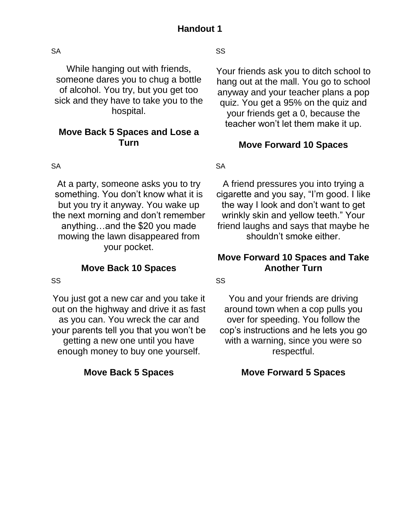SA

While hanging out with friends, someone dares you to chug a bottle of alcohol. You try, but you get too sick and they have to take you to the hospital.

## **Move Back 5 Spaces and Lose a Turn**

**SA** 

At a party, someone asks you to try something. You don't know what it is but you try it anyway. You wake up the next morning and don't remember anything…and the \$20 you made mowing the lawn disappeared from your pocket.

## **Move Back 10 Spaces**

SS

You just got a new car and you take it out on the highway and drive it as fast as you can. You wreck the car and your parents tell you that you won't be getting a new one until you have enough money to buy one yourself.

## **Move Back 5 Spaces**

SS

Your friends ask you to ditch school to hang out at the mall. You go to school anyway and your teacher plans a pop quiz. You get a 95% on the quiz and your friends get a 0, because the teacher won't let them make it up.

## **Move Forward 10 Spaces**

**SA** 

A friend pressures you into trying a cigarette and you say, "I'm good. I like the way I look and don't want to get wrinkly skin and yellow teeth." Your friend laughs and says that maybe he shouldn't smoke either.

## **Move Forward 10 Spaces and Take Another Turn**

SS

You and your friends are driving around town when a cop pulls you over for speeding. You follow the cop's instructions and he lets you go with a warning, since you were so respectful.

## **Move Forward 5 Spaces**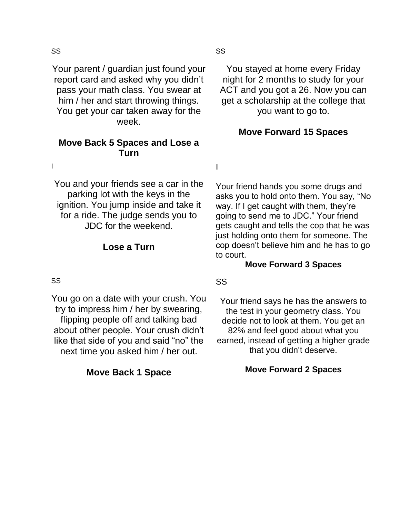#### SS

Your parent / guardian just found your report card and asked why you didn't pass your math class. You swear at him / her and start throwing things. You get your car taken away for the week.

### **Move Back 5 Spaces and Lose a Turn**

I

You and your friends see a car in the parking lot with the keys in the ignition. You jump inside and take it for a ride. The judge sends you to JDC for the weekend.

#### **Lose a Turn**

#### SS

You go on a date with your crush. You try to impress him / her by swearing, flipping people off and talking bad about other people. Your crush didn't like that side of you and said "no" the next time you asked him / her out.

#### **Move Back 1 Space**

You stayed at home every Friday night for 2 months to study for your ACT and you got a 26. Now you can get a scholarship at the college that you want to go to.

#### **Move Forward 15 Spaces**

I

Your friend hands you some drugs and asks you to hold onto them. You say, "No way. If I get caught with them, they're going to send me to JDC." Your friend gets caught and tells the cop that he was just holding onto them for someone. The cop doesn't believe him and he has to go to court.

#### **Move Forward 3 Spaces**

#### SS

Your friend says he has the answers to the test in your geometry class. You decide not to look at them. You get an 82% and feel good about what you earned, instead of getting a higher grade that you didn't deserve.

#### **Move Forward 2 Spaces**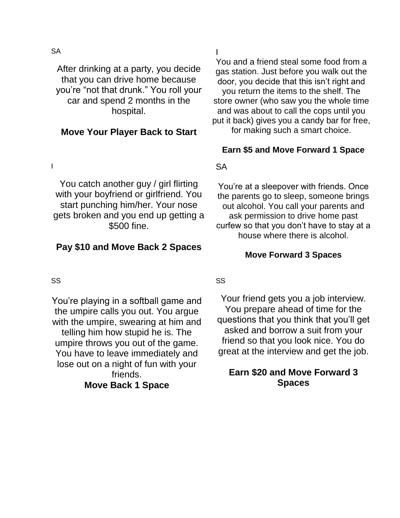**SA** 

After drinking at a party, you decide that you can drive home because you're "not that drunk." You roll your car and spend 2 months in the hospital.

### **Move Your Player Back to Start**

I

You catch another guy / girl flirting with your boyfriend or girlfriend. You start punching him/her. Your nose gets broken and you end up getting a \$500 fine.

### **Pay \$10 and Move Back 2 Spaces**

SS

You're playing in a softball game and the umpire calls you out. You argue with the umpire, swearing at him and telling him how stupid he is. The umpire throws you out of the game. You have to leave immediately and lose out on a night of fun with your friends. **Move Back 1 Space**

I

You and a friend steal some food from a gas station. Just before you walk out the door, you decide that this isn't right and you return the items to the shelf. The store owner (who saw you the whole time and was about to call the cops until you put it back) gives you a candy bar for free, for making such a smart choice.

#### **Earn \$5 and Move Forward 1 Space**

#### SA

You're at a sleepover with friends. Once the parents go to sleep, someone brings out alcohol. You call your parents and ask permission to drive home past curfew so that you don't have to stay at a house where there is alcohol.

#### **Move Forward 3 Spaces**

#### SS

Your friend gets you a job interview. You prepare ahead of time for the questions that you think that you'll get asked and borrow a suit from your friend so that you look nice. You do great at the interview and get the job.

## **Earn \$20 and Move Forward 3 Spaces**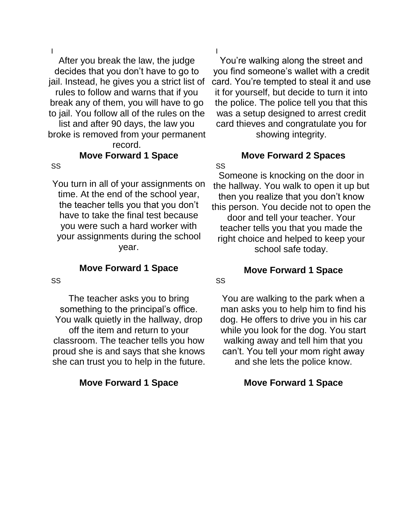I

After you break the law, the judge decides that you don't have to go to jail. Instead, he gives you a strict list of rules to follow and warns that if you break any of them, you will have to go to jail. You follow all of the rules on the

list and after 90 days, the law you broke is removed from your permanent record.

## **Move Forward 1 Space**

#### SS

You turn in all of your assignments on time. At the end of the school year, the teacher tells you that you don't have to take the final test because you were such a hard worker with your assignments during the school year.

#### **Move Forward 1 Space**

SS

The teacher asks you to bring something to the principal's office. You walk quietly in the hallway, drop off the item and return to your classroom. The teacher tells you how proud she is and says that she knows she can trust you to help in the future.

#### **Move Forward 1 Space**

I

SS

SS

You're walking along the street and you find someone's wallet with a credit card. You're tempted to steal it and use it for yourself, but decide to turn it into the police. The police tell you that this was a setup designed to arrest credit card thieves and congratulate you for showing integrity.

# **Move Forward 2 Spaces**

Someone is knocking on the door in the hallway. You walk to open it up but then you realize that you don't know this person. You decide not to open the door and tell your teacher. Your teacher tells you that you made the right choice and helped to keep your school safe today.

## **Move Forward 1 Space**

You are walking to the park when a man asks you to help him to find his dog. He offers to drive you in his car while you look for the dog. You start walking away and tell him that you can't. You tell your mom right away and she lets the police know.

#### **Move Forward 1 Space**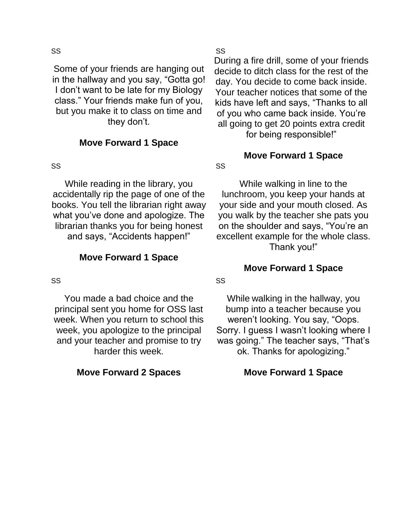#### SS

Some of your friends are hanging out in the hallway and you say, "Gotta go! I don't want to be late for my Biology class." Your friends make fun of you, but you make it to class on time and they don't.

#### **Move Forward 1 Space**

#### SS

While reading in the library, you accidentally rip the page of one of the books. You tell the librarian right away what you've done and apologize. The librarian thanks you for being honest and says, "Accidents happen!"

#### **Move Forward 1 Space**

#### SS

You made a bad choice and the principal sent you home for OSS last week. When you return to school this week, you apologize to the principal and your teacher and promise to try harder this week.

#### **Move Forward 2 Spaces**

#### SS

During a fire drill, some of your friends decide to ditch class for the rest of the day. You decide to come back inside. Your teacher notices that some of the kids have left and says, "Thanks to all of you who came back inside. You're all going to get 20 points extra credit for being responsible!"

## **Move Forward 1 Space**

While walking in line to the lunchroom, you keep your hands at your side and your mouth closed. As you walk by the teacher she pats you on the shoulder and says, "You're an excellent example for the whole class. Thank you!"

#### **Move Forward 1 Space**

#### SS

SS

While walking in the hallway, you bump into a teacher because you weren't looking. You say, "Oops. Sorry. I guess I wasn't looking where I was going." The teacher says, "That's ok. Thanks for apologizing."

#### **Move Forward 1 Space**